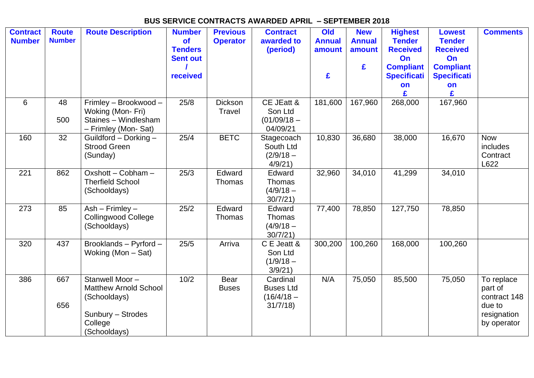## **BUS SERVICE CONTRACTS AWARDED APRIL – SEPTEMBER 2018**

| <b>Contract</b><br><b>Number</b> | <b>Route</b><br><b>Number</b> | <b>Route Description</b>                                                                                       | <b>Number</b><br><b>of</b><br><b>Tenders</b><br><b>Sent out</b> | <b>Previous</b><br><b>Operator</b> | <b>Contract</b><br>awarded to<br>(period)               | Old<br><b>Annual</b><br>amount | <b>New</b><br><b>Annual</b><br>amount | <b>Highest</b><br><b>Tender</b><br><b>Received</b><br>On | <b>Lowest</b><br><b>Tender</b><br><b>Received</b><br>On | <b>Comments</b>                                                               |
|----------------------------------|-------------------------------|----------------------------------------------------------------------------------------------------------------|-----------------------------------------------------------------|------------------------------------|---------------------------------------------------------|--------------------------------|---------------------------------------|----------------------------------------------------------|---------------------------------------------------------|-------------------------------------------------------------------------------|
|                                  |                               |                                                                                                                | received                                                        |                                    |                                                         | £                              | £                                     | <b>Compliant</b><br><b>Specificati</b><br>on             | <b>Compliant</b><br><b>Specificati</b><br>on<br>£       |                                                                               |
| 6                                | 48<br>500                     | Frimley - Brookwood -<br>Woking (Mon-Fri)<br>Staines - Windlesham<br>- Frimley (Mon- Sat)                      | 25/8                                                            | <b>Dickson</b><br><b>Travel</b>    | CE JEatt &<br>Son Ltd<br>$(01/09/18 -$<br>04/09/21      | 181,600                        | 167,960                               | 268,000                                                  | 167,960                                                 |                                                                               |
| 160                              | 32                            | Guildford - Dorking -<br><b>Strood Green</b><br>(Sunday)                                                       | 25/4                                                            | <b>BETC</b>                        | Stagecoach<br>South Ltd<br>$(2/9/18 -$<br>4/9/21        | 10,830                         | 36,680                                | 38,000                                                   | 16,670                                                  | <b>Now</b><br>includes<br>Contract<br>L622                                    |
| 221                              | 862                           | Oxshott - Cobham -<br><b>Therfield School</b><br>(Schooldays)                                                  | 25/3                                                            | Edward<br>Thomas                   | Edward<br>Thomas<br>$(4/9/18 -$<br>30/7/21)             | 32,960                         | 34,010                                | 41,299                                                   | 34,010                                                  |                                                                               |
| 273                              | 85                            | $Ash - Frimley -$<br><b>Collingwood College</b><br>(Schooldays)                                                | 25/2                                                            | Edward<br>Thomas                   | Edward<br>Thomas<br>$(4/9/18 -$<br>30/7/21              | 77,400                         | 78,850                                | 127,750                                                  | 78,850                                                  |                                                                               |
| 320                              | 437                           | Brooklands - Pyrford -<br>Woking (Mon $-$ Sat)                                                                 | 25/5                                                            | Arriva                             | C E Jeatt &<br>Son Ltd<br>$(1/9/18 -$<br>3/9/21         | 300,200                        | 100,260                               | 168,000                                                  | 100,260                                                 |                                                                               |
| 386                              | 667<br>656                    | Stanwell Moor-<br><b>Matthew Arnold School</b><br>(Schooldays)<br>Sunbury - Strodes<br>College<br>(Schooldays) | 10/2                                                            | Bear<br><b>Buses</b>               | Cardinal<br><b>Buses Ltd</b><br>$(16/4/18 -$<br>31/7/18 | N/A                            | 75,050                                | 85,500                                                   | 75,050                                                  | To replace<br>part of<br>contract 148<br>due to<br>resignation<br>by operator |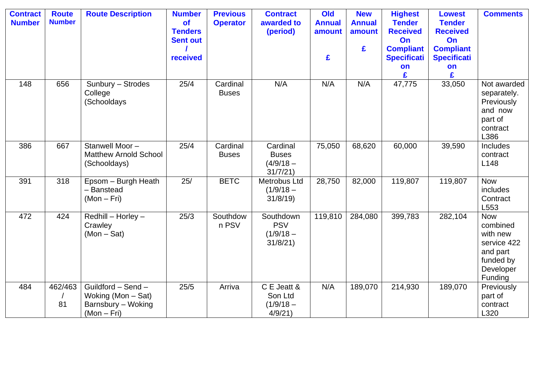| <b>Contract</b><br><b>Number</b> | <b>Route</b><br><b>Number</b> | <b>Route Description</b>                                                      | <b>Number</b><br><b>of</b><br><b>Tenders</b><br><b>Sent out</b><br>received | <b>Previous</b><br><b>Operator</b> | <b>Contract</b><br>awarded to<br>(period)          | Old<br><b>Annual</b><br>amount<br>£ | <b>New</b><br><b>Annual</b><br>amount<br>£ | <b>Highest</b><br><b>Tender</b><br><b>Received</b><br>On<br><b>Compliant</b><br><b>Specificati</b><br>on | <b>Lowest</b><br><b>Tender</b><br><b>Received</b><br>On<br><b>Compliant</b><br><b>Specificati</b><br>on<br>£ | <b>Comments</b>                                                                                    |
|----------------------------------|-------------------------------|-------------------------------------------------------------------------------|-----------------------------------------------------------------------------|------------------------------------|----------------------------------------------------|-------------------------------------|--------------------------------------------|----------------------------------------------------------------------------------------------------------|--------------------------------------------------------------------------------------------------------------|----------------------------------------------------------------------------------------------------|
| 148                              | 656                           | Sunbury - Strodes<br>College<br>(Schooldays                                   | 25/4                                                                        | Cardinal<br><b>Buses</b>           | N/A                                                | N/A                                 | N/A                                        | 47,775                                                                                                   | 33,050                                                                                                       | Not awarded<br>separately.<br>Previously<br>and now<br>part of<br>contract<br>L386                 |
| 386                              | 667                           | Stanwell Moor-<br><b>Matthew Arnold School</b><br>(Schooldays)                | 25/4                                                                        | Cardinal<br><b>Buses</b>           | Cardinal<br><b>Buses</b><br>$(4/9/18 -$<br>31/7/21 | 75,050                              | 68,620                                     | 60,000                                                                                                   | 39,590                                                                                                       | Includes<br>contract<br>L148                                                                       |
| 391                              | 318                           | Epsom - Burgh Heath<br>- Banstead<br>$(Mon-Fri)$                              | 25/                                                                         | <b>BETC</b>                        | Metrobus Ltd<br>$(1/9/18 -$<br>31/8/19             | 28,750                              | 82,000                                     | 119,807                                                                                                  | 119,807                                                                                                      | <b>Now</b><br>includes<br>Contract<br>L553                                                         |
| 472                              | 424                           | Redhill - Horley -<br>Crawley<br>$(Mon - Sat)$                                | 25/3                                                                        | Southdow<br>n PSV                  | Southdown<br><b>PSV</b><br>$(1/9/18 -$<br>31/8/21  | 119,810                             | 284,080                                    | 399,783                                                                                                  | 282,104                                                                                                      | <b>Now</b><br>combined<br>with new<br>service 422<br>and part<br>funded by<br>Developer<br>Funding |
| 484                              | 462/463<br>81                 | Guildford - Send -<br>Woking (Mon - Sat)<br>Barnsbury - Woking<br>$(Mon-Fri)$ | 25/5                                                                        | Arriva                             | C E Jeatt &<br>Son Ltd<br>$(1/9/18 -$<br>4/9/21    | N/A                                 | 189,070                                    | 214,930                                                                                                  | 189,070                                                                                                      | Previously<br>part of<br>contract<br>L320                                                          |